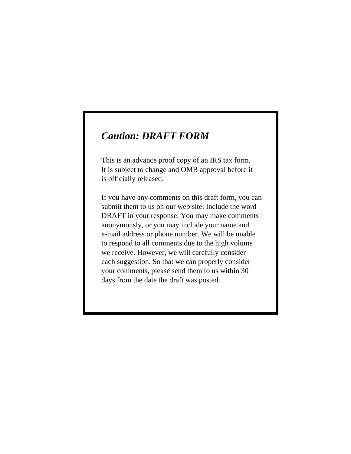# *Caution: DRAFT FORM*

This is an advance proof copy of an IRS tax form. It is subject to change and OMB approval before it is officially released.

If you have any comments on this draft form, you can submit them to us on our web site. Include the word DRAFT in your response. You may make comments anonymously, or you may include your name and e-mail address or phone number. We will be unable to respond to all comments due to the high volume we receive. However, we will carefully consider each suggestion. So that we can properly consider your comments, please send them to us within 30 days from the date the draft was posted.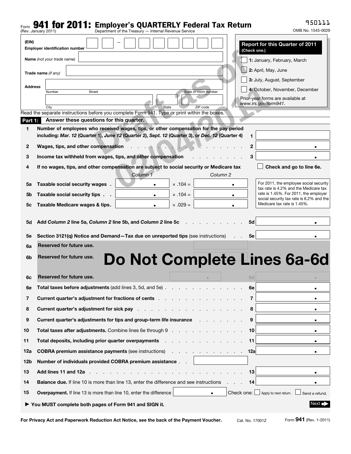## $_{\textsf{\tiny Form}}$  941 for 2011: Employer's QUARTERLY Federal Tax Return

950111

| гошт                                                                           | Department of the Treasury - Internal Revenue Service<br>(Rev. January 2011)                                                                                                                                                   |                | OMB No. 1545-0029                                                                 |  |  |
|--------------------------------------------------------------------------------|--------------------------------------------------------------------------------------------------------------------------------------------------------------------------------------------------------------------------------|----------------|-----------------------------------------------------------------------------------|--|--|
| (EIN)                                                                          | <b>Employer identification number</b>                                                                                                                                                                                          | (Check one.)   | <b>Report for this Quarter of 2011</b>                                            |  |  |
|                                                                                | <b>Name</b> (not your trade name)                                                                                                                                                                                              |                | 1: January, February, March                                                       |  |  |
|                                                                                |                                                                                                                                                                                                                                |                | 2: April, May, June                                                               |  |  |
|                                                                                | Trade name (if any)                                                                                                                                                                                                            |                | 3: July, August, September                                                        |  |  |
| <b>Address</b>                                                                 |                                                                                                                                                                                                                                |                | 4: October, November, December                                                    |  |  |
|                                                                                | <b>Street</b><br>Suite or room number<br>Number                                                                                                                                                                                |                | Prior-year forms are available at                                                 |  |  |
|                                                                                | State<br>ZIP code<br>City                                                                                                                                                                                                      |                | www.irs.gov/form941.                                                              |  |  |
|                                                                                | Read the separate instructions before you complete Form 941. Type or print within the boxes.<br>Answer these questions for this quarter.                                                                                       |                |                                                                                   |  |  |
| Part 1:<br>1                                                                   | Number of employees who received wages, tips, or other compensation for the pay period                                                                                                                                         |                |                                                                                   |  |  |
|                                                                                | including: Mar. 12 (Quarter 1), June 12 (Quarter 2), Sept. 12 (Quarter 3), or Dec. 12 (Quarter 4)                                                                                                                              | 1              |                                                                                   |  |  |
| 2                                                                              | Wages, tips, and other compensation                                                                                                                                                                                            | $\mathbf{2}$   |                                                                                   |  |  |
| з                                                                              | Income tax withheld from wages, tips, and other compensation                                                                                                                                                                   | 3              |                                                                                   |  |  |
| 4                                                                              | If no wages, tips, and other compensation are subject to social security or Medicare tax                                                                                                                                       |                | Check and go to line 6e.                                                          |  |  |
|                                                                                | Column 1<br>Column 2                                                                                                                                                                                                           |                |                                                                                   |  |  |
| 5a                                                                             | Taxable social security wages.<br>$\times$ .104 =                                                                                                                                                                              |                | For 2011, the employee social security<br>tax rate is 4.2% and the Medicare tax   |  |  |
| 5b                                                                             | Taxable social security tips.<br>$\times$ .104 =                                                                                                                                                                               | $\blacksquare$ | rate is 1.45%. For 2011, the employer<br>social security tax rate is 6.2% and the |  |  |
| 5с                                                                             | $\times .029 =$<br>Taxable Medicare wages & tips.                                                                                                                                                                              |                | Medicare tax rate is 1.45%.                                                       |  |  |
| 5d                                                                             | Add Column 2 line 5a, Column 2 line 5b, and Column 2 line 5c                                                                                                                                                                   | 5d             |                                                                                   |  |  |
| 5е                                                                             | Section 3121(q) Notice and Demand-Tax due on unreported tips (see instructions)                                                                                                                                                | 5е             |                                                                                   |  |  |
| 6a                                                                             | Reserved for future use.                                                                                                                                                                                                       |                |                                                                                   |  |  |
| 6b                                                                             | Do Not Complete Lines 6a-6d<br>Reserved for future use.                                                                                                                                                                        |                |                                                                                   |  |  |
| 6c                                                                             | Reserved for future use.                                                                                                                                                                                                       | 6d             |                                                                                   |  |  |
| 6e                                                                             | Total taxes before adjustments (add lines 3, 5d, and 5e)                                                                                                                                                                       | 6e             | п                                                                                 |  |  |
| 7                                                                              | Current quarter's adjustment for fractions of cents entitled and the control of current systems of current and the current of the current of current and current of current and current of current and current of current curr | 7              | ٠                                                                                 |  |  |
| 8                                                                              | <b>Current quarter's adjustment for sick pay</b>                                                                                                                                                                               | 8              | ٠                                                                                 |  |  |
| 9                                                                              | Current quarter's adjustments for tips and group-term life insurance                                                                                                                                                           | 9              | ٠                                                                                 |  |  |
| 10                                                                             | <b>Total taxes after adjustments.</b> Combine lines 6e through 9                                                                                                                                                               | 10             | ٠                                                                                 |  |  |
| 11                                                                             | Total deposits, including prior quarter overpayments .<br>and a strong control of the state of the                                                                                                                             | 11             | ٠                                                                                 |  |  |
| 12a                                                                            | <b>COBRA premium assistance payments (see instructions)</b><br>and a strain and a strain and a                                                                                                                                 | 12a            | п                                                                                 |  |  |
| 12 <sub>b</sub>                                                                | Number of individuals provided COBRA premium assistance                                                                                                                                                                        |                |                                                                                   |  |  |
| 13                                                                             | Add lines 11 and 12a                                                                                                                                                                                                           | 13             | ٠                                                                                 |  |  |
| 14                                                                             | Balance due. If line 10 is more than line 13, enter the difference and see instructions                                                                                                                                        | 14             | ٠                                                                                 |  |  |
| 15                                                                             | Overpayment. If line 13 is more than line 10, enter the difference<br>$\blacksquare$                                                                                                                                           |                | Check one: $\Box$ Apply to next return.<br>Send a refund.                         |  |  |
| Next $\blacksquare$<br>▶ You MUST complete both pages of Form 941 and SIGN it. |                                                                                                                                                                                                                                |                |                                                                                   |  |  |

For Privacy Act and Paperwork Reduction Act Notice, see the back of the Payment Voucher. Cat. No. 17001Z Form 941 (Rev. 1-2011)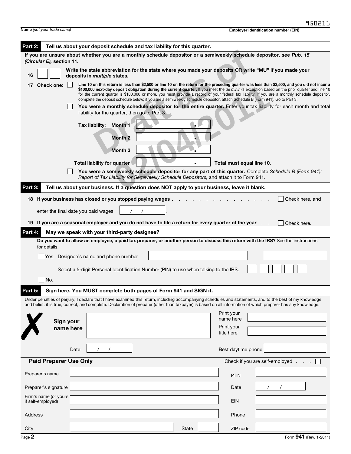| <b>Name</b> (not your trade name)                                                                                                                                                                                                                                                                                                                                                                                                                                                                                                                                                                            |                                                                                                                                                                  | <b>Employer identification number (EIN)</b>                                                                                                                                                                                                                                                                               |  |  |  |
|--------------------------------------------------------------------------------------------------------------------------------------------------------------------------------------------------------------------------------------------------------------------------------------------------------------------------------------------------------------------------------------------------------------------------------------------------------------------------------------------------------------------------------------------------------------------------------------------------------------|------------------------------------------------------------------------------------------------------------------------------------------------------------------|---------------------------------------------------------------------------------------------------------------------------------------------------------------------------------------------------------------------------------------------------------------------------------------------------------------------------|--|--|--|
| Part 2:                                                                                                                                                                                                                                                                                                                                                                                                                                                                                                                                                                                                      | Tell us about your deposit schedule and tax liability for this quarter.                                                                                          |                                                                                                                                                                                                                                                                                                                           |  |  |  |
|                                                                                                                                                                                                                                                                                                                                                                                                                                                                                                                                                                                                              |                                                                                                                                                                  | If you are unsure about whether you are a monthly schedule depositor or a semiweekly schedule depositor, see Pub. 15                                                                                                                                                                                                      |  |  |  |
| (Circular E), section 11.                                                                                                                                                                                                                                                                                                                                                                                                                                                                                                                                                                                    |                                                                                                                                                                  | Write the state abbreviation for the state where you made your deposits OR write "MU" if you made your                                                                                                                                                                                                                    |  |  |  |
| 16                                                                                                                                                                                                                                                                                                                                                                                                                                                                                                                                                                                                           | deposits in <i>multiple</i> states.                                                                                                                              |                                                                                                                                                                                                                                                                                                                           |  |  |  |
| Line 10 on this return is less than \$2,500 or line 10 on the return for the preceding quarter was less than \$2,500, and you did not incur a<br><b>Check one:</b><br>17<br>\$100,000 next-day deposit obligation during the current quarter. If you meet the de minimis exception based on the prior quarter and line 10<br>for the current quarter is \$100,000 or more, you must provide a record of your federal tax liability. If you are a monthly schedule depositor,<br>complete the deposit schedule below; if you are a semiweekly schedule depositor, attach Schedule B (Form 941). Go to Part 3. |                                                                                                                                                                  |                                                                                                                                                                                                                                                                                                                           |  |  |  |
|                                                                                                                                                                                                                                                                                                                                                                                                                                                                                                                                                                                                              | You were a monthly schedule depositor for the entire quarter. Enter your tax liability for each month and total<br>liability for the quarter, then go to Part 3. |                                                                                                                                                                                                                                                                                                                           |  |  |  |
|                                                                                                                                                                                                                                                                                                                                                                                                                                                                                                                                                                                                              | Month 1<br>Tax liability:                                                                                                                                        |                                                                                                                                                                                                                                                                                                                           |  |  |  |
|                                                                                                                                                                                                                                                                                                                                                                                                                                                                                                                                                                                                              |                                                                                                                                                                  |                                                                                                                                                                                                                                                                                                                           |  |  |  |
|                                                                                                                                                                                                                                                                                                                                                                                                                                                                                                                                                                                                              | <b>Month 2</b>                                                                                                                                                   |                                                                                                                                                                                                                                                                                                                           |  |  |  |
|                                                                                                                                                                                                                                                                                                                                                                                                                                                                                                                                                                                                              | Month <sub>3</sub>                                                                                                                                               |                                                                                                                                                                                                                                                                                                                           |  |  |  |
|                                                                                                                                                                                                                                                                                                                                                                                                                                                                                                                                                                                                              | <b>Total liability for quarter</b>                                                                                                                               | Total must equal line 10.                                                                                                                                                                                                                                                                                                 |  |  |  |
|                                                                                                                                                                                                                                                                                                                                                                                                                                                                                                                                                                                                              | Report of Tax Liability for Semiweekly Schedule Depositors, and attach it to Form 941.                                                                           | You were a semiweekly schedule depositor for any part of this quarter. Complete Schedule B (Form 941):                                                                                                                                                                                                                    |  |  |  |
| Part 3:                                                                                                                                                                                                                                                                                                                                                                                                                                                                                                                                                                                                      | Tell us about your business. If a question does NOT apply to your business, leave it blank.                                                                      |                                                                                                                                                                                                                                                                                                                           |  |  |  |
| 18                                                                                                                                                                                                                                                                                                                                                                                                                                                                                                                                                                                                           | If your business has closed or you stopped paying wages                                                                                                          | Check here, and                                                                                                                                                                                                                                                                                                           |  |  |  |
|                                                                                                                                                                                                                                                                                                                                                                                                                                                                                                                                                                                                              | enter the final date you paid wages                                                                                                                              |                                                                                                                                                                                                                                                                                                                           |  |  |  |
|                                                                                                                                                                                                                                                                                                                                                                                                                                                                                                                                                                                                              | 19 If you are a seasonal employer and you do not have to file a return for every quarter of the year.                                                            | Check here.                                                                                                                                                                                                                                                                                                               |  |  |  |
| Part 4:                                                                                                                                                                                                                                                                                                                                                                                                                                                                                                                                                                                                      | May we speak with your third-party designee?                                                                                                                     |                                                                                                                                                                                                                                                                                                                           |  |  |  |
| for details.                                                                                                                                                                                                                                                                                                                                                                                                                                                                                                                                                                                                 |                                                                                                                                                                  | Do you want to allow an employee, a paid tax preparer, or another person to discuss this return with the IRS? See the instructions                                                                                                                                                                                        |  |  |  |
|                                                                                                                                                                                                                                                                                                                                                                                                                                                                                                                                                                                                              | Yes. Designee's name and phone number                                                                                                                            |                                                                                                                                                                                                                                                                                                                           |  |  |  |
|                                                                                                                                                                                                                                                                                                                                                                                                                                                                                                                                                                                                              | Select a 5-digit Personal Identification Number (PIN) to use when talking to the IRS.                                                                            |                                                                                                                                                                                                                                                                                                                           |  |  |  |
| No.                                                                                                                                                                                                                                                                                                                                                                                                                                                                                                                                                                                                          |                                                                                                                                                                  |                                                                                                                                                                                                                                                                                                                           |  |  |  |
| Part 5:                                                                                                                                                                                                                                                                                                                                                                                                                                                                                                                                                                                                      | Sign here. You MUST complete both pages of Form 941 and SIGN it.                                                                                                 |                                                                                                                                                                                                                                                                                                                           |  |  |  |
|                                                                                                                                                                                                                                                                                                                                                                                                                                                                                                                                                                                                              |                                                                                                                                                                  | Under penalties of perjury, I declare that I have examined this return, including accompanying schedules and statements, and to the best of my knowledge<br>and belief, it is true, correct, and complete. Declaration of preparer (other than taxpayer) is based on all information of which preparer has any knowledge. |  |  |  |
|                                                                                                                                                                                                                                                                                                                                                                                                                                                                                                                                                                                                              |                                                                                                                                                                  | Print your                                                                                                                                                                                                                                                                                                                |  |  |  |
| Sign your                                                                                                                                                                                                                                                                                                                                                                                                                                                                                                                                                                                                    |                                                                                                                                                                  | name here<br>Print your                                                                                                                                                                                                                                                                                                   |  |  |  |
| name here                                                                                                                                                                                                                                                                                                                                                                                                                                                                                                                                                                                                    |                                                                                                                                                                  | title here                                                                                                                                                                                                                                                                                                                |  |  |  |
|                                                                                                                                                                                                                                                                                                                                                                                                                                                                                                                                                                                                              | $\prime$<br>$\sqrt{2}$                                                                                                                                           |                                                                                                                                                                                                                                                                                                                           |  |  |  |
|                                                                                                                                                                                                                                                                                                                                                                                                                                                                                                                                                                                                              | Date                                                                                                                                                             | Best daytime phone                                                                                                                                                                                                                                                                                                        |  |  |  |
| <b>Paid Preparer Use Only</b>                                                                                                                                                                                                                                                                                                                                                                                                                                                                                                                                                                                |                                                                                                                                                                  | Check if you are self-employed                                                                                                                                                                                                                                                                                            |  |  |  |
| Preparer's name                                                                                                                                                                                                                                                                                                                                                                                                                                                                                                                                                                                              |                                                                                                                                                                  | <b>PTIN</b>                                                                                                                                                                                                                                                                                                               |  |  |  |
| Preparer's signature                                                                                                                                                                                                                                                                                                                                                                                                                                                                                                                                                                                         |                                                                                                                                                                  | Date                                                                                                                                                                                                                                                                                                                      |  |  |  |
| Firm's name (or yours<br>if self-employed)                                                                                                                                                                                                                                                                                                                                                                                                                                                                                                                                                                   |                                                                                                                                                                  | <b>EIN</b>                                                                                                                                                                                                                                                                                                                |  |  |  |
| Address                                                                                                                                                                                                                                                                                                                                                                                                                                                                                                                                                                                                      |                                                                                                                                                                  | Phone                                                                                                                                                                                                                                                                                                                     |  |  |  |
|                                                                                                                                                                                                                                                                                                                                                                                                                                                                                                                                                                                                              |                                                                                                                                                                  |                                                                                                                                                                                                                                                                                                                           |  |  |  |
| City                                                                                                                                                                                                                                                                                                                                                                                                                                                                                                                                                                                                         |                                                                                                                                                                  | <b>State</b><br>ZIP code                                                                                                                                                                                                                                                                                                  |  |  |  |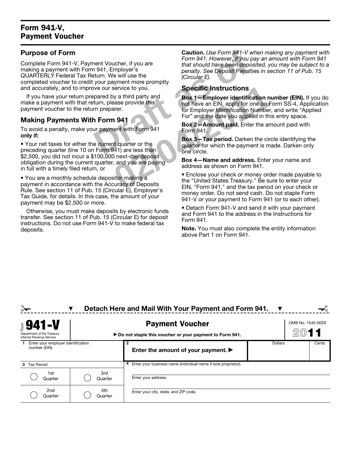### Form 941-V, Payment Voucher

#### Purpose of Form

**Caution.** Use Form 941-V w<br> **Draft As of the School of the School of the School of the School of the School of the School of the School of the School of the School of the School of the School of the School of the School o** Complete Form 941-V, Payment Voucher, if you are making a payment with Form 941, Employer's QUARTERLY Federal Tax Return. We will use the completed voucher to credit your payment more promptly and accurately, and to improve our service to you.

If you have your return prepared by a third party and make a payment with that return, please provide this payment voucher to the return preparer.

### Making Payments With Form 941

To avoid a penalty, make your payment with Form 941 only if:

• Your net taxes for either the current quarter or the preceding quarter (line 10 on Form 941) are less than \$2,500, you did not incur a \$100,000 next-day deposit obligation during the current quarter, and you are paying in full with a timely filed return, or

• You are a monthly schedule depositor making a payment in accordance with the Accuracy of Deposits Rule. See section 11 of Pub. 15 (Circular E), Employer's Tax Guide, for details. In this case, the amount of your payment may be \$2,500 or more.

Otherwise, you must make deposits by electronic funds transfer. See section 11 of Pub. 15 (Circular E) for deposit instructions. Do not use Form 941-V to make federal tax deposits.

Caution. *Use Form 941-V when making any payment with Form 941. However, if you pay an amount with Form 941 that should have been deposited, you may be subject to a penalty. See* Deposit Penalties *in section 11 of Pub. 15 (Circular E).*

#### Specific Instructions

Secric Instructions<br>
by a third party and<br>
ease provide this<br>
are recovered this<br>
are recovered this<br>
are the starting of the starting and the date you applied in this<br>
for Employer Identification Number,<br>
For " and the da Box 1—Employer identification number (EIN). If you do not have an EIN, apply for one on Form SS-4, Application for Employer Identification Number, and write "Applied For" and the date you applied in this entry space.

Box 2—Amount paid. Enter the amount paid with Form 941.

Box 3—Tax period. Darken the circle identifying the quarter for which the payment is made. Darken only one circle.

Box 4—Name and address. Enter your name and address as shown on Form 941.

• Enclose your check or money order made payable to the "United States Treasury." Be sure to enter your EIN, "Form 941," and the tax period on your check or money order. Do not send cash. Do not staple Form 941-V or your payment to Form 941 (or to each other).

• Detach Form 941-V and send it with your payment and Form 941 to the address in the Instructions for Form 941.

Note. You must also complete the entity information above Part 1 on Form 941.

|                                                                    |                | Detach Here and Mail With Your Payment and Form 941.                                |         |                   |
|--------------------------------------------------------------------|----------------|-------------------------------------------------------------------------------------|---------|-------------------|
| $$941-V$<br>Department of the Treasury<br>Internal Revenue Service |                | <b>Payment Voucher</b><br>► Do not staple this voucher or your payment to Form 941. |         | OMB No. 1545-0029 |
| Enter your employer identification<br>number (EIN).                |                | 2<br>Enter the amount of your payment. $\blacktriangleright$                        | Dollars | Cents             |
| <b>Tax Period</b><br>3                                             |                | Enter your business name (individual name if sole proprietor).<br>4                 |         |                   |
| 1st<br>Quarter                                                     | 3rd<br>Quarter | Enter your address.                                                                 |         |                   |
| 2nd<br>Quarter                                                     | 4th<br>Quarter | Enter your city, state, and ZIP code.                                               |         |                   |